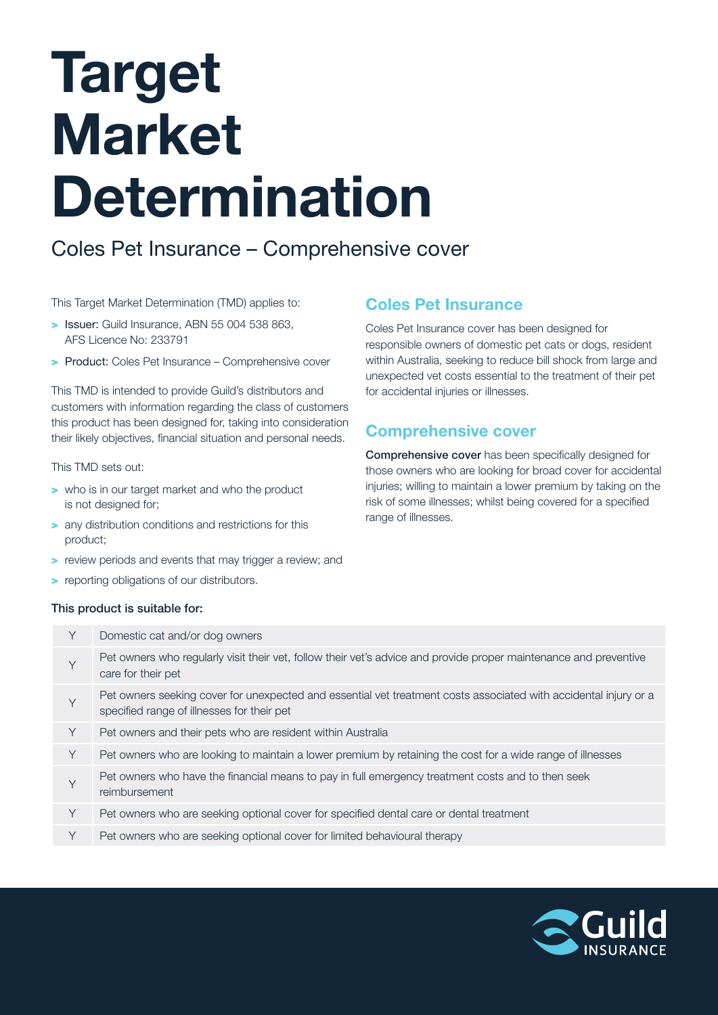# Target Market Determination

# Coles Pet Insurance – Comprehensive cover

#### This Target Market Determination (TMD) applies to:

- > Issuer: Guild Insurance, ABN 55 004 538 863, AFS Licence No: 233791
- > Product: Coles Pet Insurance Comprehensive cover

This TMD is intended to provide Guild's distributors and customers with information regarding the class of customers this product has been designed for, taking into consideration their likely objectives, financial situation and personal needs.

#### This TMD sets out:

- > who is in our target market and who the product is not designed for;
- > any distribution conditions and restrictions for this product;
- > review periods and events that may trigger a review; and
- > reporting obligations of our distributors.

# Coles Pet Insurance

Coles Pet Insurance cover has been designed for responsible owners of domestic pet cats or dogs, resident within Australia, seeking to reduce bill shock from large and unexpected vet costs essential to the treatment of their pet for accidental injuries or illnesses.

# Comprehensive cover

Comprehensive cover has been specifically designed for those owners who are looking for broad cover for accidental injuries; willing to maintain a lower premium by taking on the risk of some illnesses; whilst being covered for a specified range of illnesses.

#### This product is suitable for:

| Y | Domestic cat and/or dog owners                                                                                                                                 |
|---|----------------------------------------------------------------------------------------------------------------------------------------------------------------|
| Y | Pet owners who regularly visit their vet, follow their vet's advice and provide proper maintenance and preventive<br>care for their pet                        |
| Y | Pet owners seeking cover for unexpected and essential vet treatment costs associated with accidental injury or a<br>specified range of illnesses for their pet |
| Y | Pet owners and their pets who are resident within Australia                                                                                                    |
| Y | Pet owners who are looking to maintain a lower premium by retaining the cost for a wide range of illnesses                                                     |
| Y | Pet owners who have the financial means to pay in full emergency treatment costs and to then seek<br>reimbursement                                             |
| Y | Pet owners who are seeking optional cover for specified dental care or dental treatment                                                                        |
| Υ | Pet owners who are seeking optional cover for limited behavioural therapy                                                                                      |

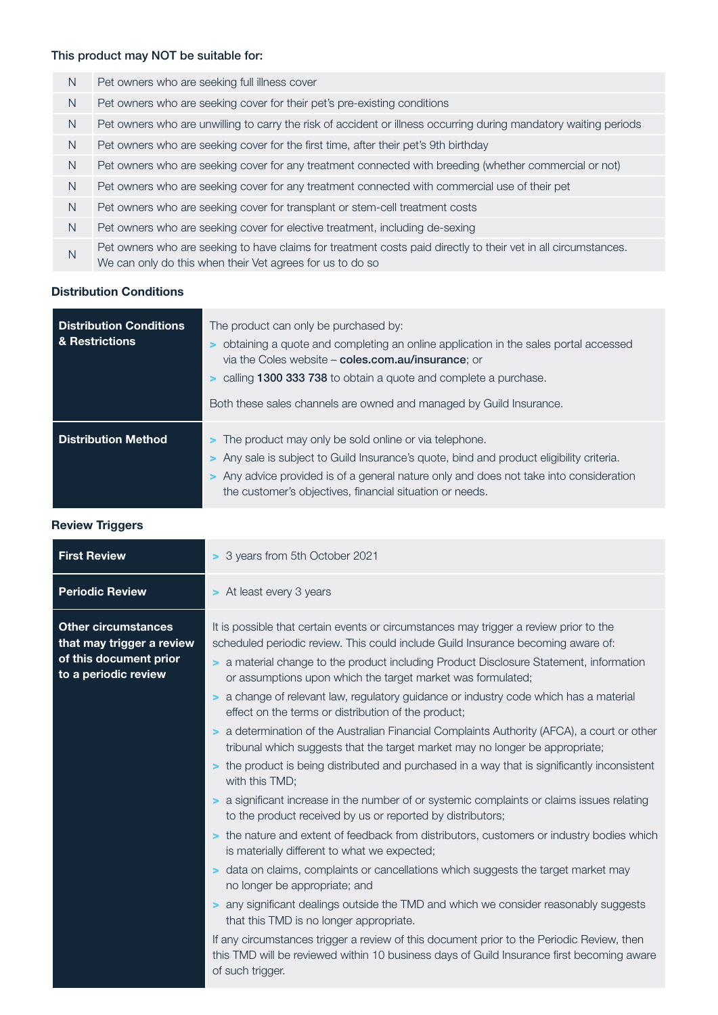# This product may NOT be suitable for:

| N. | Pet owners who are seeking full illness cover                                                                                                                               |
|----|-----------------------------------------------------------------------------------------------------------------------------------------------------------------------------|
| N. | Pet owners who are seeking cover for their pet's pre-existing conditions                                                                                                    |
| N. | Pet owners who are unwilling to carry the risk of accident or illness occurring during mandatory waiting periods                                                            |
| N  | Pet owners who are seeking cover for the first time, after their pet's 9th birthday                                                                                         |
| N  | Pet owners who are seeking cover for any treatment connected with breeding (whether commercial or not)                                                                      |
| N  | Pet owners who are seeking cover for any treatment connected with commercial use of their pet                                                                               |
| N. | Pet owners who are seeking cover for transplant or stem-cell treatment costs                                                                                                |
| N. | Pet owners who are seeking cover for elective treatment, including de-sexing                                                                                                |
| N  | Pet owners who are seeking to have claims for treatment costs paid directly to their vet in all circumstances.<br>We can only do this when their Vet agrees for us to do so |

#### Distribution Conditions

| <b>Distribution Conditions</b><br>& Restrictions | The product can only be purchased by:<br>obtaining a quote and completing an online application in the sales portal accessed<br>via the Coles website – coles.com.au/insurance: or<br>calling 1300 333 738 to obtain a quote and complete a purchase.<br>Both these sales channels are owned and managed by Guild Insurance. |
|--------------------------------------------------|------------------------------------------------------------------------------------------------------------------------------------------------------------------------------------------------------------------------------------------------------------------------------------------------------------------------------|
| <b>Distribution Method</b>                       | > The product may only be sold online or via telephone.<br>Any sale is subject to Guild Insurance's quote, bind and product eligibility criteria.<br>> Any advice provided is of a general nature only and does not take into consideration<br>the customer's objectives, financial situation or needs.                      |

# Review Triggers

| <b>First Review</b>                                                                                       | > 3 years from 5th October 2021                                                                                                                                                                                                                                                                                                                                                                                                                                                                                                                                                                                                                                                                                                                                                                                                                                                                                                                                                                                                                                                                                                                                                                                                                                                                                                                                                                                                                                                                                                                                                    |  |  |
|-----------------------------------------------------------------------------------------------------------|------------------------------------------------------------------------------------------------------------------------------------------------------------------------------------------------------------------------------------------------------------------------------------------------------------------------------------------------------------------------------------------------------------------------------------------------------------------------------------------------------------------------------------------------------------------------------------------------------------------------------------------------------------------------------------------------------------------------------------------------------------------------------------------------------------------------------------------------------------------------------------------------------------------------------------------------------------------------------------------------------------------------------------------------------------------------------------------------------------------------------------------------------------------------------------------------------------------------------------------------------------------------------------------------------------------------------------------------------------------------------------------------------------------------------------------------------------------------------------------------------------------------------------------------------------------------------------|--|--|
| <b>Periodic Review</b>                                                                                    | > At least every 3 years                                                                                                                                                                                                                                                                                                                                                                                                                                                                                                                                                                                                                                                                                                                                                                                                                                                                                                                                                                                                                                                                                                                                                                                                                                                                                                                                                                                                                                                                                                                                                           |  |  |
| <b>Other circumstances</b><br>that may trigger a review<br>of this document prior<br>to a periodic review | It is possible that certain events or circumstances may trigger a review prior to the<br>scheduled periodic review. This could include Guild Insurance becoming aware of:<br>> a material change to the product including Product Disclosure Statement, information<br>or assumptions upon which the target market was formulated;<br>a change of relevant law, regulatory guidance or industry code which has a material<br>$\geq$<br>effect on the terms or distribution of the product;<br>a determination of the Australian Financial Complaints Authority (AFCA), a court or other<br>$\geq$<br>tribunal which suggests that the target market may no longer be appropriate;<br>> the product is being distributed and purchased in a way that is significantly inconsistent<br>with this TMD;<br>> a significant increase in the number of or systemic complaints or claims issues relating<br>to the product received by us or reported by distributors;<br>> the nature and extent of feedback from distributors, customers or industry bodies which<br>is materially different to what we expected;<br>> data on claims, complaints or cancellations which suggests the target market may<br>no longer be appropriate; and<br>any significant dealings outside the TMD and which we consider reasonably suggests<br>that this TMD is no longer appropriate.<br>If any circumstances trigger a review of this document prior to the Periodic Review, then<br>this TMD will be reviewed within 10 business days of Guild Insurance first becoming aware<br>of such trigger. |  |  |